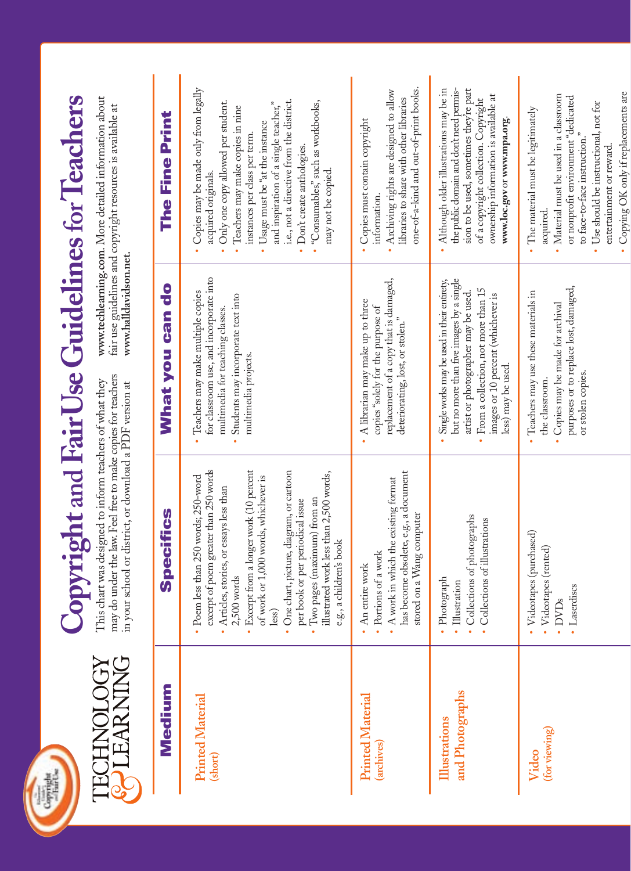



## Copyright and Fair Use Guidelines for Teachers **Copyright and FairUseGuidelinesforTeachers**

This chart was designed to inform teachers of what they may do under the law. Feel free to make copies for teachers in your school or district, or download a PDF version at may do under the law. Feel free to make copies for teachers This chart was designed to inform teachers of what they in your school or district, or download a PDF version at

www.techlearning.com. More detailed information about **www.techlearning.com**. More detailed information about fair use guidelines and copyright resources is available at fair use guidelines and copyright resources is available at www.halldavidson.net. **www.halldavidson.net.**

| Medium                                     | pecifics                                                                                                                                                                                                                                                                                                                                                                                                                     | $\frac{0}{c}$<br>What you can                                                                                                                                                                                                     | The Fine Print                                                                                                                                                                                                                                                                                                                                                                            |
|--------------------------------------------|------------------------------------------------------------------------------------------------------------------------------------------------------------------------------------------------------------------------------------------------------------------------------------------------------------------------------------------------------------------------------------------------------------------------------|-----------------------------------------------------------------------------------------------------------------------------------------------------------------------------------------------------------------------------------|-------------------------------------------------------------------------------------------------------------------------------------------------------------------------------------------------------------------------------------------------------------------------------------------------------------------------------------------------------------------------------------------|
| <b>Printed Material</b><br>(short)         | excerpt of poem greater than 250 words<br>· Excerpt from a longer work (10 percent<br>· One chart, picture, diagram, or cartoon<br>illustrated work less than 2,500 words,<br>• Poem less than 250 words; 250-word<br>of work or 1,000 words, whichever is<br>Articles, stories, or essays less than<br>Two pages (maximum) from an<br>per book or per periodical issue<br>e.g., a children's book<br>$2,500$ words<br>less) | for classroom use, and incorporate into<br>Teachers may make multiple copies<br>Students may incorporate text into<br>multimedia for teaching classes.<br>multimedia projects.                                                    | Copies may be made only from legally<br>i.e., not a directive from the district.<br>• "Consumables," such as workbooks,<br>Only one copy allowed per student.<br>and inspiration of a single teacher,"<br>Teachers may make copies in nine<br>Usage must be "at the instance<br>instances per class per term.<br>· Don't create anthologies.<br>may not be copied.<br>acquired originals. |
| <b>Printed Material</b><br><i>archives</i> | has become obsolete, e.g., a document<br>A work in which the existing format<br>stored on a Wang computer<br>a work<br>An entire work<br>- Portions of                                                                                                                                                                                                                                                                       | replacement of a copy that is damaged,<br>A librarian may make up to three<br>copies "solely for the purpose of<br>deteriorating, lost, or stolen."                                                                               | one-of-a-kind and out-of-print books.<br>• Archiving rights are designed to allow<br>libraries to share with other libraries<br>· Copies must contain copyright<br>information.                                                                                                                                                                                                           |
| and Photographs<br><b>Illustrations</b>    | of photographs<br>of illustrations<br>• Photograph<br>• Illustration<br>Collections<br>Collections                                                                                                                                                                                                                                                                                                                           | but no more than five images by a single<br>Single works may be used in their entirety,<br>From a collection, not more than 15<br>artist or photographer may be used.<br>images or 10 percent (whichever is<br>less) may be used. | sion to be used, sometimes they're part<br>· Although older illustrations may be in<br>the public domain and don't need permis-<br>ownership information is available at<br>of a copyright collection. Copyright<br>www.loc.govor www.mpa.org.                                                                                                                                            |
| (for viewing)<br>Video                     | Videotapes (purchased)<br>• Videotapes (rented)<br>Laserdiscs<br>· DVD <sub>s</sub>                                                                                                                                                                                                                                                                                                                                          | purposes or to replace lost, damaged,<br>Teachers may use these materials in<br>Copies may be made for archival<br>or stolen copies.<br>the classroom.                                                                            | • Copying OK only if replacements are<br>• Material must be used in a classroom<br>or nonprofit environment "dedicated<br>• Use should be instructional, not for<br>• The material must be legitimately<br>to face-to-face instruction."<br>entertainment or reward.<br>acquired.                                                                                                         |